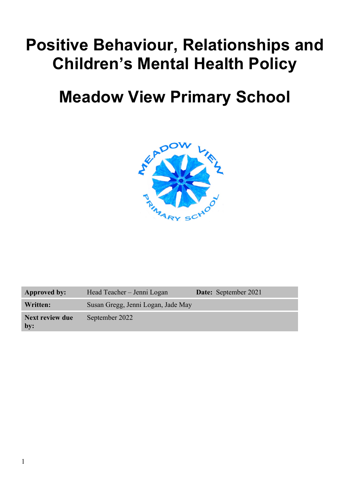# **Positive Behaviour, Relationships and Children's Mental Health Policy**

# **Meadow View Primary School**



| <b>Approved by:</b>    | Head Teacher – Jenni Logan         | <b>Date:</b> September 2021 |
|------------------------|------------------------------------|-----------------------------|
| Written:               | Susan Gregg, Jenni Logan, Jade May |                             |
| Next review due<br>by: | September 2022                     |                             |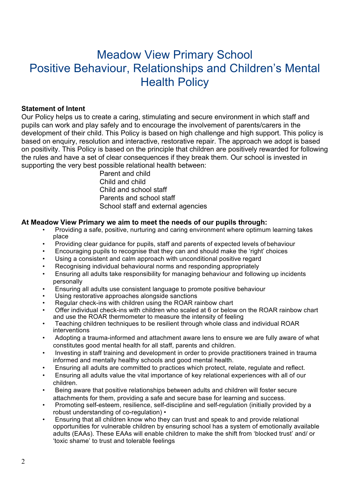# Meadow View Primary School Positive Behaviour, Relationships and Children's Mental **Health Policy**

#### **Statement of Intent**

Our Policy helps us to create a caring, stimulating and secure environment in which staff and pupils can work and play safely and to encourage the involvement of parents/carers in the development of their child. This Policy is based on high challenge and high support. This policy is based on enquiry, resolution and interactive, restorative repair. The approach we adopt is based on positivity. This Policy is based on the principle that children are positively rewarded for following the rules and have a set of clear consequences if they break them. Our school is invested in supporting the very best possible relational health between:

> Parent and child Child and child Child and school staff Parents and school staff School staff and external agencies

#### **At Meadow View Primary we aim to meet the needs of our pupils through:**

- Providing a safe, positive, nurturing and caring environment where optimum learning takes place
- Providing clear guidance for pupils, staff and parents of expected levels of behaviour
- Encouraging pupils to recognise that they can and should make the 'right' choices
- Using a consistent and calm approach with unconditional positive regard
- Recognising individual behavioural norms and responding appropriately
- Ensuring all adults take responsibility for managing behaviour and following up incidents personally
- Ensuring all adults use consistent language to promote positive behaviour
- Using restorative approaches alongside sanctions
- Regular check-ins with children using the ROAR rainbow chart
- Offer individual check-ins with children who scaled at 6 or below on the ROAR rainbow chart and use the ROAR thermometer to measure the intensity of feeling
- Teaching children techniques to be resilient through whole class and individual ROAR interventions
- Adopting a trauma-informed and attachment aware lens to ensure we are fully aware of what constitutes good mental health for all staff, parents and children.
- Investing in staff training and development in order to provide practitioners trained in trauma informed and mentally healthy schools and good mental health.
- Ensuring all adults are committed to practices which protect, relate, regulate and reflect.
- Ensuring all adults value the vital importance of key relational experiences with all of our children.
- Being aware that positive relationships between adults and children will foster secure attachments for them, providing a safe and secure base for learning and success.
- Promoting self-esteem, resilience, self-discipline and self-regulation (initially provided by a robust understanding of co-regulation) •
- Ensuring that all children know who they can trust and speak to and provide relational opportunities for vulnerable children by ensuring school has a system of emotionally available adults (EAAs). These EAAs will enable children to make the shift from 'blocked trust' and/ or 'toxic shame' to trust and tolerable feelings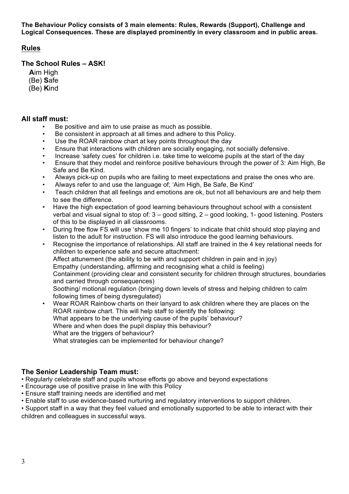**The Behaviour Policy consists of 3 main elements: Rules, Rewards (Support), Challenge and Logical Consequences. These are displayed prominently in every classroom and in public areas.**

## **Rules**

#### **The School Rules – ASK!**

- **A**im High
- (Be) **S**afe
- (Be) **K**ind

### **All staff must:**

- Be positive and aim to use praise as much as possible.
- Be consistent in approach at all times and adhere to this Policy.
- Use the ROAR rainbow chart at key points throughout the day
- Ensure that interactions with children are socially engaging, not socially defensive.
- Increase 'safety cues' for children i.e. take time to welcome pupils at the start of the day
- Ensure that they model and reinforce positive behaviours through the power of 3: Aim High, Be Safe and Be Kind.
- Always pick-up on pupils who are failing to meet expectations and praise the ones who are.
- Always refer to and use the language of; 'Aim High, Be Safe, Be Kind'
- Teach children that all feelings and emotions are ok, but not all behaviours are and help them to see the difference.
- Have the high expectation of good learning behaviours throughout school with a consistent verbal and visual signal to stop of: 3 – good sitting, 2 – good looking, 1- good listening. Posters of this to be displayed in all classrooms.
- During free flow FS will use 'show me 10 fingers' to indicate that child should stop playing and listen to the adult for instruction. FS will also introduce the good learning behaviours.
- Recognise the importance of relationships. All staff are trained in the 4 key relational needs for children to experience safe and secure attachment: Affect attunement (the ability to be with and support children in pain and in joy) Empathy (understanding, affirming and recognising what a child is feeling) Containment (providing clear and consistent security for children through structures, boundaries and carried through consequences) Soothing/ motional regulation (bringing down levels of stress and helping children to calm following times of being dysregulated) • Wear ROAR Rainbow charts on their lanyard to ask children where they are places on the
- ROAR rainbow chart. This will help staff to identify the following: What appears to be the underlying cause of the pupils' behaviour? Where and when does the pupil display this behaviour? What are the triggers of behaviour? What strategies can be implemented for behaviour change?

# **The Senior Leadership Team must:**

- Regularly celebrate staff and pupils whose efforts go above and beyond expectations
- Encourage use of positive praise in line with this Policy
- Ensure staff training needs are identified and met
- Enable staff to use evidence-based nurturing and regulatory interventions to support children.

• Support staff in a way that they feel valued and emotionally supported to be able to interact with their children and colleagues in successful ways.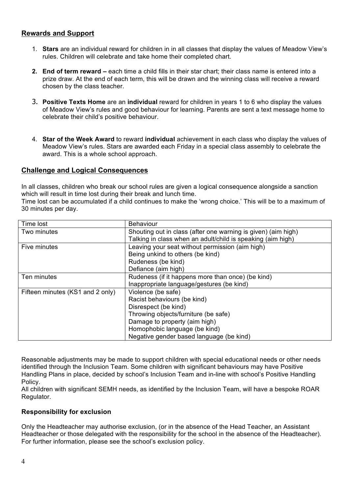### **Rewards and Support**

- 1. **Stars** are an individual reward for children in in all classes that display the values of Meadow View's rules. Children will celebrate and take home their completed chart.
- **2. End of term reward –** each time a child fills in their star chart; their class name is entered into a prize draw. At the end of each term, this will be drawn and the winning class will receive a reward chosen by the class teacher.
- 3. **Positive Texts Home** are an **individual** reward for children in years 1 to 6 who display the values of Meadow View's rules and good behaviour for learning. Parents are sent a text message home to celebrate their child's positive behaviour.
- 4. **Star of the Week Award** to reward **individual** achievement in each class who display the values of Meadow View's rules. Stars are awarded each Friday in a special class assembly to celebrate the award. This is a whole school approach.

#### **Challenge and Logical Consequences**

In all classes, children who break our school rules are given a logical consequence alongside a sanction which will result in time lost during their break and lunch time.

Time lost can be accumulated if a child continues to make the 'wrong choice.' This will be to a maximum of 30 minutes per day.

| Time lost                        | <b>Behaviour</b>                                              |
|----------------------------------|---------------------------------------------------------------|
| Two minutes                      | Shouting out in class (after one warning is given) (aim high) |
|                                  | Talking in class when an adult/child is speaking (aim high)   |
| Five minutes                     | Leaving your seat without permission (aim high)               |
|                                  | Being unkind to others (be kind)                              |
|                                  | Rudeness (be kind)                                            |
|                                  | Defiance (aim high)                                           |
| Ten minutes                      | Rudeness (if it happens more than once) (be kind)             |
|                                  | Inappropriate language/gestures (be kind)                     |
| Fifteen minutes (KS1 and 2 only) | Violence (be safe)                                            |
|                                  | Racist behaviours (be kind)                                   |
|                                  | Disrespect (be kind)                                          |
|                                  | Throwing objects/furniture (be safe)                          |
|                                  | Damage to property (aim high)                                 |
|                                  | Homophobic language (be kind)                                 |
|                                  | Negative gender based language (be kind)                      |

Reasonable adjustments may be made to support children with special educational needs or other needs identified through the Inclusion Team. Some children with significant behaviours may have Positive Handling Plans in place, decided by school's Inclusion Team and in-line with school's Positive Handling Policy.

All children with significant SEMH needs, as identified by the Inclusion Team, will have a bespoke ROAR Regulator.

#### **Responsibility for exclusion**

Only the Headteacher may authorise exclusion, (or in the absence of the Head Teacher, an Assistant Headteacher or those delegated with the responsibility for the school in the absence of the Headteacher). For further information, please see the school's exclusion policy.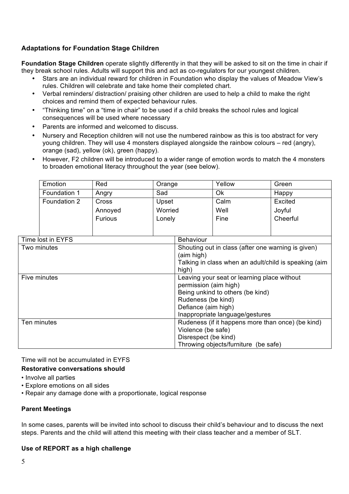# **Adaptations for Foundation Stage Children**

**Foundation Stage Children** operate slightly differently in that they will be asked to sit on the time in chair if they break school rules. Adults will support this and act as co-regulators for our youngest children.

- Stars are an individual reward for children in Foundation who display the values of Meadow View's rules. Children will celebrate and take home their completed chart.
- Verbal reminders/ distraction/ praising other children are used to help a child to make the right choices and remind them of expected behaviour rules.
- "Thinking time" on a "time in chair" to be used if a child breaks the school rules and logical consequences will be used where necessary
- Parents are informed and welcomed to discuss.
- Nursery and Reception children will not use the numbered rainbow as this is too abstract for very young children. They will use 4 monsters displayed alongside the rainbow colours – red (angry), orange (sad), yellow (ok), green (happy).
- However, F2 children will be introduced to a wider range of emotion words to match the 4 monsters to broaden emotional literacy throughout the year (see below).

|                   | Emotion      | Red            | Orange                                                |                                      | Yellow                          | Green    |  |
|-------------------|--------------|----------------|-------------------------------------------------------|--------------------------------------|---------------------------------|----------|--|
|                   | Foundation 1 | Angry          | Sad                                                   |                                      | Ok                              | Happy    |  |
|                   | Foundation 2 | Cross          | Upset                                                 |                                      | Calm                            | Excited  |  |
|                   |              | Annoyed        | Worried                                               |                                      | Well                            | Joyful   |  |
|                   |              | <b>Furious</b> | Lonely                                                |                                      | Fine                            | Cheerful |  |
|                   |              |                |                                                       |                                      |                                 |          |  |
| Time lost in EYFS |              |                | <b>Behaviour</b>                                      |                                      |                                 |          |  |
| Two minutes       |              |                | Shouting out in class (after one warning is given)    |                                      |                                 |          |  |
|                   |              |                |                                                       | (aim high)                           |                                 |          |  |
|                   |              |                | Talking in class when an adult/child is speaking (aim |                                      |                                 |          |  |
|                   |              |                |                                                       | high)                                |                                 |          |  |
| Five minutes      |              |                | Leaving your seat or learning place without           |                                      |                                 |          |  |
|                   |              |                |                                                       | permission (aim high)                |                                 |          |  |
|                   |              |                | Being unkind to others (be kind)                      |                                      |                                 |          |  |
|                   |              |                | Rudeness (be kind)                                    |                                      |                                 |          |  |
|                   |              |                | Defiance (aim high)                                   |                                      |                                 |          |  |
|                   |              |                |                                                       |                                      | Inappropriate language/gestures |          |  |
| Ten minutes       |              |                | Rudeness (if it happens more than once) (be kind)     |                                      |                                 |          |  |
|                   |              |                | Violence (be safe)                                    |                                      |                                 |          |  |
|                   |              |                | Disrespect (be kind)                                  |                                      |                                 |          |  |
|                   |              |                |                                                       | Throwing objects/furniture (be safe) |                                 |          |  |

Time will not be accumulated in EYFS

#### **Restorative conversations should**

- Involve all parties
- Explore emotions on all sides
- Repair any damage done with a proportionate, logical response

#### **Parent Meetings**

In some cases, parents will be invited into school to discuss their child's behaviour and to discuss the next steps. Parents and the child will attend this meeting with their class teacher and a member of SLT.

#### **Use of REPORT as a high challenge**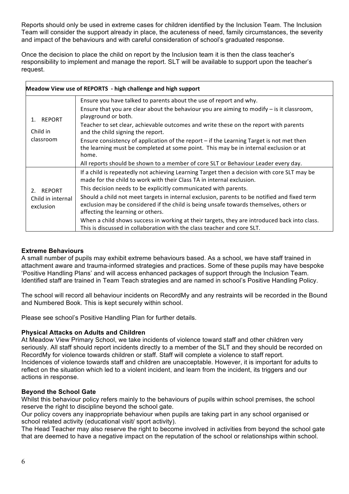Reports should only be used in extreme cases for children identified by the Inclusion Team. The Inclusion Team will consider the support already in place, the acuteness of need, family circumstances, the severity and impact of the behaviours and with careful consideration of school's graduated response.

Once the decision to place the child on report by the Inclusion team it is then the class teacher's responsibility to implement and manage the report. SLT will be available to support upon the teacher's request.

| Meadow View use of REPORTS - high challenge and high support |                                                                                                                                                                                                                                                                                                                                                                                                                                                                                                                     |  |
|--------------------------------------------------------------|---------------------------------------------------------------------------------------------------------------------------------------------------------------------------------------------------------------------------------------------------------------------------------------------------------------------------------------------------------------------------------------------------------------------------------------------------------------------------------------------------------------------|--|
| 1. REPORT<br>Child in<br>classroom                           | Ensure you have talked to parents about the use of report and why.<br>Ensure that you are clear about the behaviour you are aiming to modify $-$ is it classroom,<br>playground or both.<br>Teacher to set clear, achievable outcomes and write these on the report with parents<br>and the child signing the report.<br>Ensure consistency of application of the report – if the Learning Target is not met then<br>the learning must be completed at some point. This may be in internal exclusion or at<br>home. |  |
|                                                              | All reports should be shown to a member of core SLT or Behaviour Leader every day.                                                                                                                                                                                                                                                                                                                                                                                                                                  |  |
| 2. REPORT<br>Child in internal<br>exclusion                  | If a child is repeatedly not achieving Learning Target then a decision with core SLT may be<br>made for the child to work with their Class TA in internal exclusion.                                                                                                                                                                                                                                                                                                                                                |  |
|                                                              | This decision needs to be explicitly communicated with parents.                                                                                                                                                                                                                                                                                                                                                                                                                                                     |  |
|                                                              | Should a child not meet targets in internal exclusion, parents to be notified and fixed term<br>exclusion may be considered if the child is being unsafe towards themselves, others or<br>affecting the learning or others.                                                                                                                                                                                                                                                                                         |  |
|                                                              | When a child shows success in working at their targets, they are introduced back into class.<br>This is discussed in collaboration with the class teacher and core SLT.                                                                                                                                                                                                                                                                                                                                             |  |

#### **Extreme Behaviours**

 $\mathsf{r}$ 

A small number of pupils may exhibit extreme behaviours based. As a school, we have staff trained in attachment aware and trauma-informed strategies and practices. Some of these pupils may have bespoke 'Positive Handling Plans' and will access enhanced packages of support through the Inclusion Team. Identified staff are trained in Team Teach strategies and are named in school's Positive Handling Policy.

The school will record all behaviour incidents on RecordMy and any restraints will be recorded in the Bound and Numbered Book. This is kept securely within school.

Please see school's Positive Handling Plan for further details.

#### **Physical Attacks on Adults and Children**

At Meadow View Primary School, we take incidents of violence toward staff and other children very seriously. All staff should report incidents directly to a member of the SLT and they should be recorded on RecordMy for violence towards children or staff. Staff will complete a violence to staff report. Incidences of violence towards staff and children are unacceptable. However, it is important for adults to reflect on the situation which led to a violent incident, and learn from the incident, its triggers and our actions in response.

#### **Beyond the School Gate**

Whilst this behaviour policy refers mainly to the behaviours of pupils within school premises, the school reserve the right to discipline beyond the school gate.

Our policy covers any inappropriate behaviour when pupils are taking part in any school organised or school related activity (educational visit/ sport activity).

The Head Teacher may also reserve the right to become involved in activities from beyond the school gate that are deemed to have a negative impact on the reputation of the school or relationships within school.